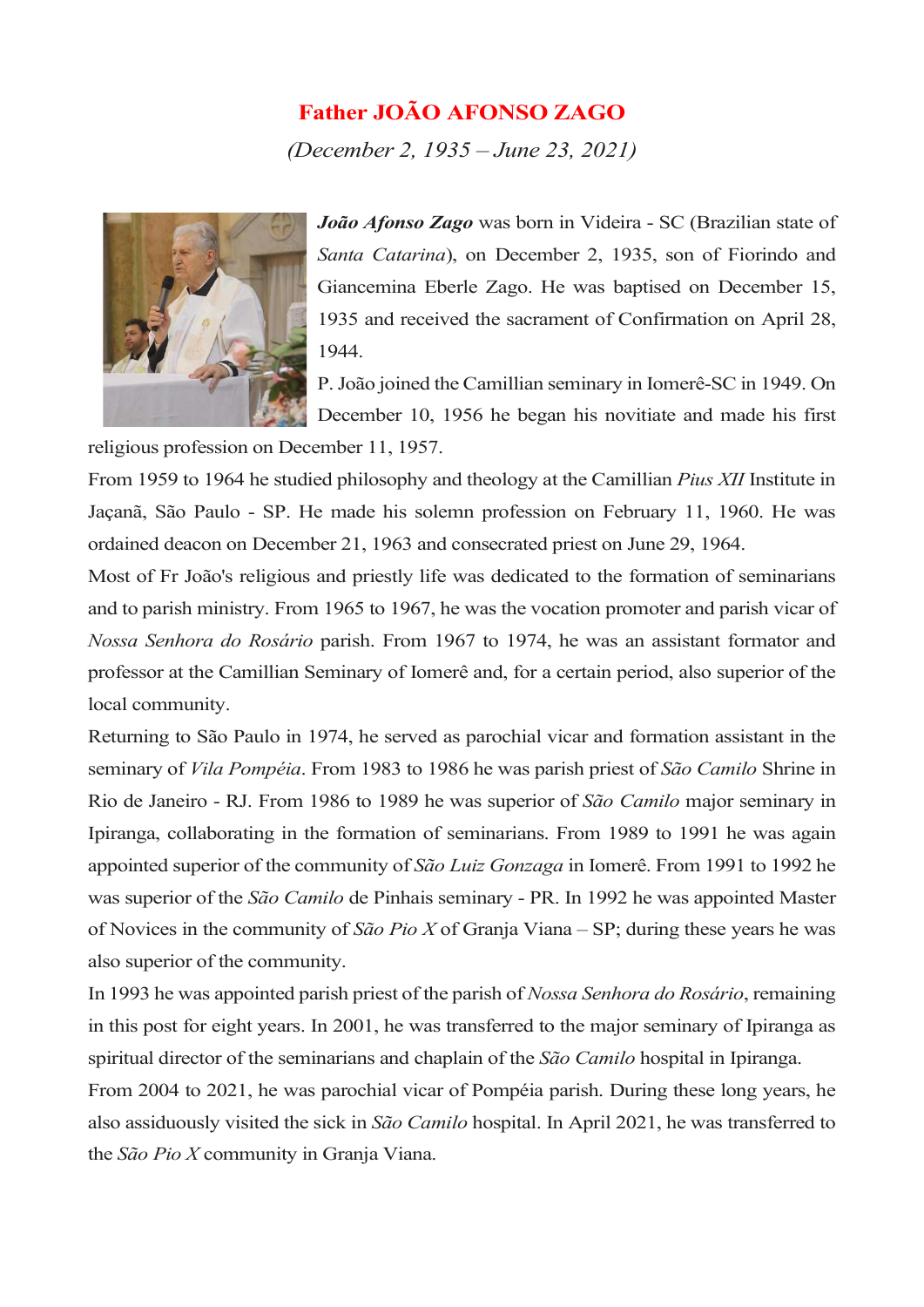## Father JOÃO AFONSO ZAGO

(December 2, 1935 – June 23, 2021)



João Afonso Zago was born in Videira - SC (Brazilian state of Santa Catarina), on December 2, 1935, son of Fiorindo and Giancemina Eberle Zago. He was baptised on December 15, 1935 and received the sacrament of Confirmation on April 28, 1944.

P. João joined the Camillian seminary in Iomerê-SC in 1949. On December 10, 1956 he began his novitiate and made his first

religious profession on December 11, 1957.

From 1959 to 1964 he studied philosophy and theology at the Camillian Pius XII Institute in Jaçanã, São Paulo - SP. He made his solemn profession on February 11, 1960. He was ordained deacon on December 21, 1963 and consecrated priest on June 29, 1964.

Most of Fr João's religious and priestly life was dedicated to the formation of seminarians and to parish ministry. From 1965 to 1967, he was the vocation promoter and parish vicar of Nossa Senhora do Rosário parish. From 1967 to 1974, he was an assistant formator and professor at the Camillian Seminary of Iomerê and, for a certain period, also superior of the local community.

Returning to São Paulo in 1974, he served as parochial vicar and formation assistant in the seminary of *Vila Pompéia*. From 1983 to 1986 he was parish priest of São Camilo Shrine in Rio de Janeiro - RJ. From 1986 to 1989 he was superior of São Camilo major seminary in Ipiranga, collaborating in the formation of seminarians. From 1989 to 1991 he was again appointed superior of the community of São Luiz Gonzaga in Iomerê. From 1991 to 1992 he was superior of the São Camilo de Pinhais seminary - PR. In 1992 he was appointed Master of Novices in the community of  $S\tilde{a}o Pio X$  of Granja Viana – SP; during these years he was also superior of the community.

In 1993 he was appointed parish priest of the parish of Nossa Senhora do Rosário, remaining in this post for eight years. In 2001, he was transferred to the major seminary of Ipiranga as spiritual director of the seminarians and chaplain of the São Camilo hospital in Ipiranga.

From 2004 to 2021, he was parochial vicar of Pompéia parish. During these long years, he also assiduously visited the sick in São Camilo hospital. In April 2021, he was transferred to the São Pio X community in Granja Viana.